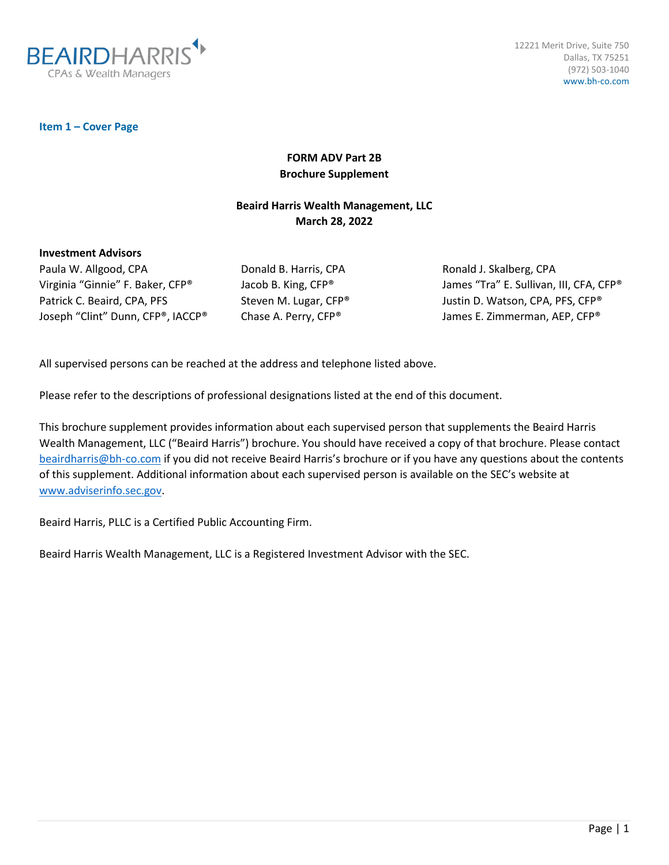

12221 Merit Drive, Suite 750 Dallas, TX 75251 (972) 503-1040 www.bh-co.com

**Item 1 – Cover Page**

# **FORM ADV Part 2B Brochure Supplement**

# **Beaird Harris Wealth Management, LLC March 28, 2022**

#### **Investment Advisors**

Paula W. Allgood, CPA Virginia "Ginnie" F. Baker, CFP® Patrick C. Beaird, CPA, PFS Joseph "Clint" Dunn, CFP®, IACCP® Donald B. Harris, CPA Jacob B. King, CFP® Steven M. Lugar, CFP® Chase A. Perry, CFP®

Ronald J. Skalberg, CPA James "Tra" E. Sullivan, III, CFA, CFP® Justin D. Watson, CPA, PFS, CFP® James E. Zimmerman, AEP, CFP®

All supervised persons can be reached at the address and telephone listed above.

Please refer to the descriptions of professional designations listed at the end of this document.

This brochure supplement provides information about each supervised person that supplements the Beaird Harris Wealth Management, LLC ("Beaird Harris") brochure. You should have received a copy of that brochure. Please contact [beairdharris@bh-co.com](mailto:beairdharris@bh-co.com) if you did not receive Beaird Harris's brochure or if you have any questions about the contents of this supplement. Additional information about each supervised person is available on the SEC's website at [www.adviserinfo.sec.gov.](http://www.adviserinfo.sec.gov/)

Beaird Harris, PLLC is a Certified Public Accounting Firm.

Beaird Harris Wealth Management, LLC is a Registered Investment Advisor with the SEC.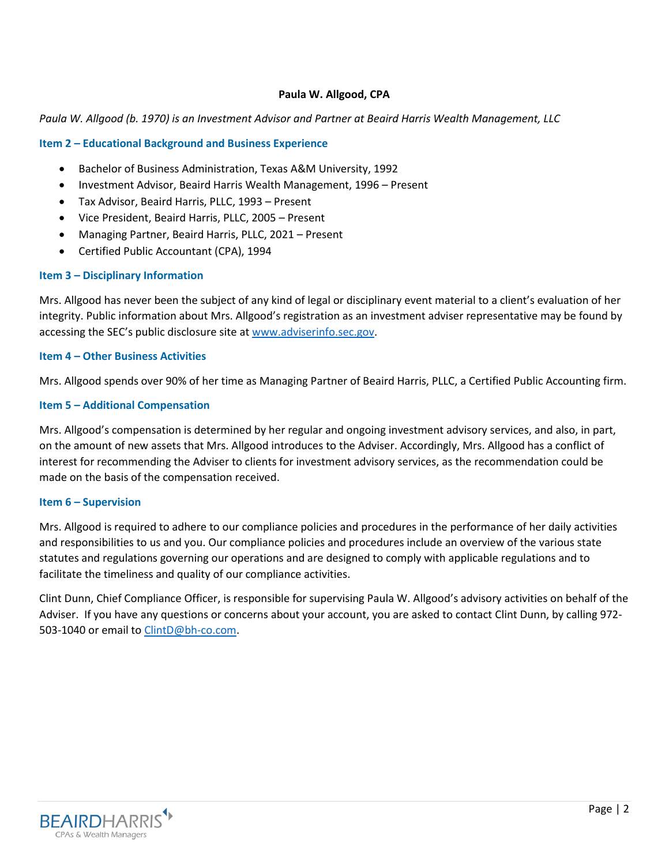## **Paula W. Allgood, CPA**

### *Paula W. Allgood (b. 1970) is an Investment Advisor and Partner at Beaird Harris Wealth Management, LLC*

### **Item 2 – Educational Background and Business Experience**

- Bachelor of Business Administration, Texas A&M University, 1992
- Investment Advisor, Beaird Harris Wealth Management, 1996 Present
- Tax Advisor, Beaird Harris, PLLC, 1993 Present
- Vice President, Beaird Harris, PLLC, 2005 Present
- Managing Partner, Beaird Harris, PLLC, 2021 Present
- Certified Public Accountant (CPA), 1994

### **Item 3 – Disciplinary Information**

Mrs. Allgood has never been the subject of any kind of legal or disciplinary event material to a client's evaluation of her integrity. Public information about Mrs. Allgood's registration as an investment adviser representative may be found by accessing the SEC's public disclosure site at [www.adviserinfo.sec.gov.](http://www.adviserinfo.sec.gov/)

## **Item 4 – Other Business Activities**

Mrs. Allgood spends over 90% of her time as Managing Partner of Beaird Harris, PLLC, a Certified Public Accounting firm.

### **Item 5 – Additional Compensation**

Mrs. Allgood's compensation is determined by her regular and ongoing investment advisory services, and also, in part, on the amount of new assets that Mrs. Allgood introduces to the Adviser. Accordingly, Mrs. Allgood has a conflict of interest for recommending the Adviser to clients for investment advisory services, as the recommendation could be made on the basis of the compensation received.

#### **Item 6 – Supervision**

Mrs. Allgood is required to adhere to our compliance policies and procedures in the performance of her daily activities and responsibilities to us and you. Our compliance policies and procedures include an overview of the various state statutes and regulations governing our operations and are designed to comply with applicable regulations and to facilitate the timeliness and quality of our compliance activities.

Clint Dunn, Chief Compliance Officer, is responsible for supervising Paula W. Allgood's advisory activities on behalf of the Adviser. If you have any questions or concerns about your account, you are asked to contact Clint Dunn, by calling 972- 503-1040 or email to [ClintD@bh-co.com.](mailto:ClintD@bh-co.com)

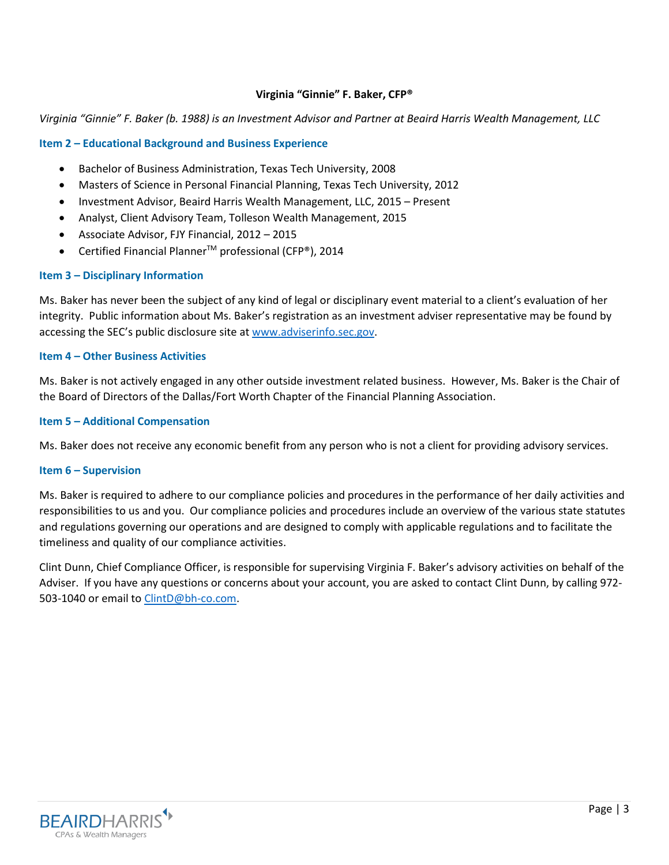## **Virginia "Ginnie" F. Baker, CFP®**

### *Virginia "Ginnie" F. Baker (b. 1988) is an Investment Advisor and Partner at Beaird Harris Wealth Management, LLC*

### **Item 2 – Educational Background and Business Experience**

- Bachelor of Business Administration, Texas Tech University, 2008
- Masters of Science in Personal Financial Planning, Texas Tech University, 2012
- Investment Advisor, Beaird Harris Wealth Management, LLC, 2015 Present
- Analyst, Client Advisory Team, Tolleson Wealth Management, 2015
- Associate Advisor, FJY Financial, 2012 2015
- Certified Financial PlannerTM professional (CFP®), 2014

### **Item 3 – Disciplinary Information**

Ms. Baker has never been the subject of any kind of legal or disciplinary event material to a client's evaluation of her integrity. Public information about Ms. Baker's registration as an investment adviser representative may be found by accessing the SEC's public disclosure site at [www.adviserinfo.sec.gov.](http://www.adviserinfo.sec.gov/)

## **Item 4 – Other Business Activities**

Ms. Baker is not actively engaged in any other outside investment related business. However, Ms. Baker is the Chair of the Board of Directors of the Dallas/Fort Worth Chapter of the Financial Planning Association.

### **Item 5 – Additional Compensation**

Ms. Baker does not receive any economic benefit from any person who is not a client for providing advisory services.

#### **Item 6 – Supervision**

Ms. Baker is required to adhere to our compliance policies and procedures in the performance of her daily activities and responsibilities to us and you. Our compliance policies and procedures include an overview of the various state statutes and regulations governing our operations and are designed to comply with applicable regulations and to facilitate the timeliness and quality of our compliance activities.

Clint Dunn, Chief Compliance Officer, is responsible for supervising Virginia F. Baker's advisory activities on behalf of the Adviser. If you have any questions or concerns about your account, you are asked to contact Clint Dunn, by calling 972- 503-1040 or email to [ClintD@bh-co.com.](mailto:ClintD@bh-co.com)

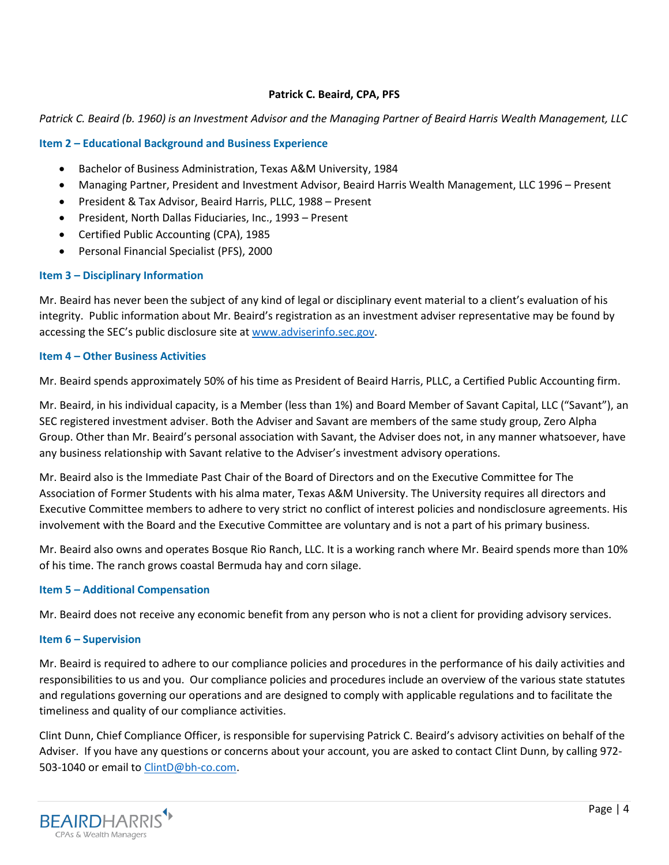## **Patrick C. Beaird, CPA, PFS**

## *Patrick C. Beaird (b. 1960) is an Investment Advisor and the Managing Partner of Beaird Harris Wealth Management, LLC*

## **Item 2 – Educational Background and Business Experience**

- Bachelor of Business Administration, Texas A&M University, 1984
- Managing Partner, President and Investment Advisor, Beaird Harris Wealth Management, LLC 1996 Present
- President & Tax Advisor, Beaird Harris, PLLC, 1988 Present
- President, North Dallas Fiduciaries, Inc., 1993 Present
- Certified Public Accounting (CPA), 1985
- Personal Financial Specialist (PFS), 2000

### **Item 3 – Disciplinary Information**

Mr. Beaird has never been the subject of any kind of legal or disciplinary event material to a client's evaluation of his integrity. Public information about Mr. Beaird's registration as an investment adviser representative may be found by accessing the SEC's public disclosure site at [www.adviserinfo.sec.gov.](http://www.adviserinfo.sec.gov/)

## **Item 4 – Other Business Activities**

Mr. Beaird spends approximately 50% of his time as President of Beaird Harris, PLLC, a Certified Public Accounting firm.

Mr. Beaird, in his individual capacity, is a Member (less than 1%) and Board Member of Savant Capital, LLC ("Savant"), an SEC registered investment adviser. Both the Adviser and Savant are members of the same study group, Zero Alpha Group. Other than Mr. Beaird's personal association with Savant, the Adviser does not, in any manner whatsoever, have any business relationship with Savant relative to the Adviser's investment advisory operations.

Mr. Beaird also is the Immediate Past Chair of the Board of Directors and on the Executive Committee for The Association of Former Students with his alma mater, Texas A&M University. The University requires all directors and Executive Committee members to adhere to very strict no conflict of interest policies and nondisclosure agreements. His involvement with the Board and the Executive Committee are voluntary and is not a part of his primary business.

Mr. Beaird also owns and operates Bosque Rio Ranch, LLC. It is a working ranch where Mr. Beaird spends more than 10% of his time. The ranch grows coastal Bermuda hay and corn silage.

## **Item 5 – Additional Compensation**

Mr. Beaird does not receive any economic benefit from any person who is not a client for providing advisory services.

## **Item 6 – Supervision**

Mr. Beaird is required to adhere to our compliance policies and procedures in the performance of his daily activities and responsibilities to us and you. Our compliance policies and procedures include an overview of the various state statutes and regulations governing our operations and are designed to comply with applicable regulations and to facilitate the timeliness and quality of our compliance activities.

Clint Dunn, Chief Compliance Officer, is responsible for supervising Patrick C. Beaird's advisory activities on behalf of the Adviser. If you have any questions or concerns about your account, you are asked to contact Clint Dunn, by calling 972- 503-1040 or email to [ClintD@bh-co.com.](mailto:ClintD@bh-co.com)

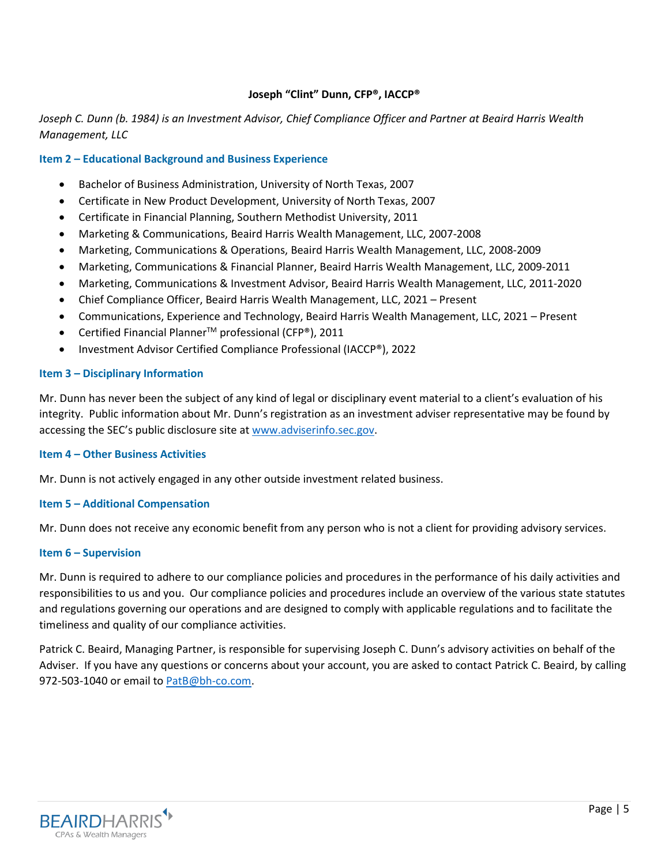## **Joseph "Clint" Dunn, CFP®, IACCP®**

# *Joseph C. Dunn (b. 1984) is an Investment Advisor, Chief Compliance Officer and Partner at Beaird Harris Wealth Management, LLC*

## **Item 2 – Educational Background and Business Experience**

- Bachelor of Business Administration, University of North Texas, 2007
- Certificate in New Product Development, University of North Texas, 2007
- Certificate in Financial Planning, Southern Methodist University, 2011
- Marketing & Communications, Beaird Harris Wealth Management, LLC, 2007-2008
- Marketing, Communications & Operations, Beaird Harris Wealth Management, LLC, 2008-2009
- Marketing, Communications & Financial Planner, Beaird Harris Wealth Management, LLC, 2009-2011
- Marketing, Communications & Investment Advisor, Beaird Harris Wealth Management, LLC, 2011-2020
- Chief Compliance Officer, Beaird Harris Wealth Management, LLC, 2021 Present
- Communications, Experience and Technology, Beaird Harris Wealth Management, LLC, 2021 Present
- Certified Financial Planner<sup>TM</sup> professional (CFP®), 2011
- Investment Advisor Certified Compliance Professional (IACCP®), 2022

#### **Item 3 – Disciplinary Information**

Mr. Dunn has never been the subject of any kind of legal or disciplinary event material to a client's evaluation of his integrity. Public information about Mr. Dunn's registration as an investment adviser representative may be found by accessing the SEC's public disclosure site at [www.adviserinfo.sec.gov.](http://www.adviserinfo.sec.gov/)

#### **Item 4 – Other Business Activities**

Mr. Dunn is not actively engaged in any other outside investment related business.

#### **Item 5 – Additional Compensation**

Mr. Dunn does not receive any economic benefit from any person who is not a client for providing advisory services.

#### **Item 6 – Supervision**

Mr. Dunn is required to adhere to our compliance policies and procedures in the performance of his daily activities and responsibilities to us and you. Our compliance policies and procedures include an overview of the various state statutes and regulations governing our operations and are designed to comply with applicable regulations and to facilitate the timeliness and quality of our compliance activities.

Patrick C. Beaird, Managing Partner, is responsible for supervising Joseph C. Dunn's advisory activities on behalf of the Adviser. If you have any questions or concerns about your account, you are asked to contact Patrick C. Beaird, by calling 972-503-1040 or email to **PatB@bh-co.com**.

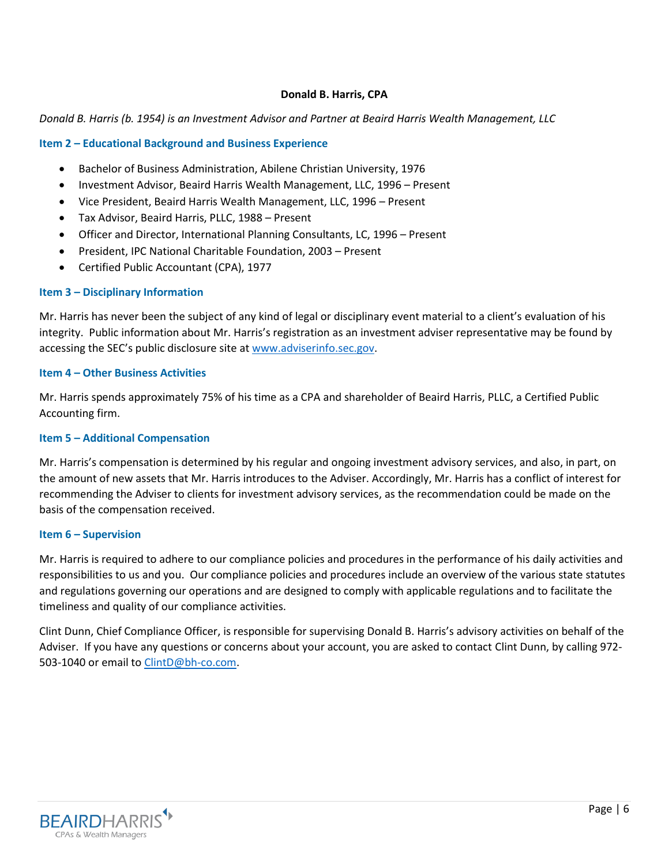## **Donald B. Harris, CPA**

### *Donald B. Harris (b. 1954) is an Investment Advisor and Partner at Beaird Harris Wealth Management, LLC*

### **Item 2 – Educational Background and Business Experience**

- Bachelor of Business Administration, Abilene Christian University, 1976
- Investment Advisor, Beaird Harris Wealth Management, LLC, 1996 Present
- Vice President, Beaird Harris Wealth Management, LLC, 1996 Present
- Tax Advisor, Beaird Harris, PLLC, 1988 Present
- Officer and Director, International Planning Consultants, LC, 1996 Present
- President, IPC National Charitable Foundation, 2003 Present
- Certified Public Accountant (CPA), 1977

#### **Item 3 – Disciplinary Information**

Mr. Harris has never been the subject of any kind of legal or disciplinary event material to a client's evaluation of his integrity. Public information about Mr. Harris's registration as an investment adviser representative may be found by accessing the SEC's public disclosure site at [www.adviserinfo.sec.gov.](http://www.adviserinfo.sec.gov/)

## **Item 4 – Other Business Activities**

Mr. Harris spends approximately 75% of his time as a CPA and shareholder of Beaird Harris, PLLC, a Certified Public Accounting firm.

#### **Item 5 – Additional Compensation**

Mr. Harris's compensation is determined by his regular and ongoing investment advisory services, and also, in part, on the amount of new assets that Mr. Harris introduces to the Adviser. Accordingly, Mr. Harris has a conflict of interest for recommending the Adviser to clients for investment advisory services, as the recommendation could be made on the basis of the compensation received.

#### **Item 6 – Supervision**

Mr. Harris is required to adhere to our compliance policies and procedures in the performance of his daily activities and responsibilities to us and you. Our compliance policies and procedures include an overview of the various state statutes and regulations governing our operations and are designed to comply with applicable regulations and to facilitate the timeliness and quality of our compliance activities.

Clint Dunn, Chief Compliance Officer, is responsible for supervising Donald B. Harris's advisory activities on behalf of the Adviser. If you have any questions or concerns about your account, you are asked to contact Clint Dunn, by calling 972- 503-1040 or email to [ClintD@bh-co.com.](mailto:ClintD@bh-co.com)

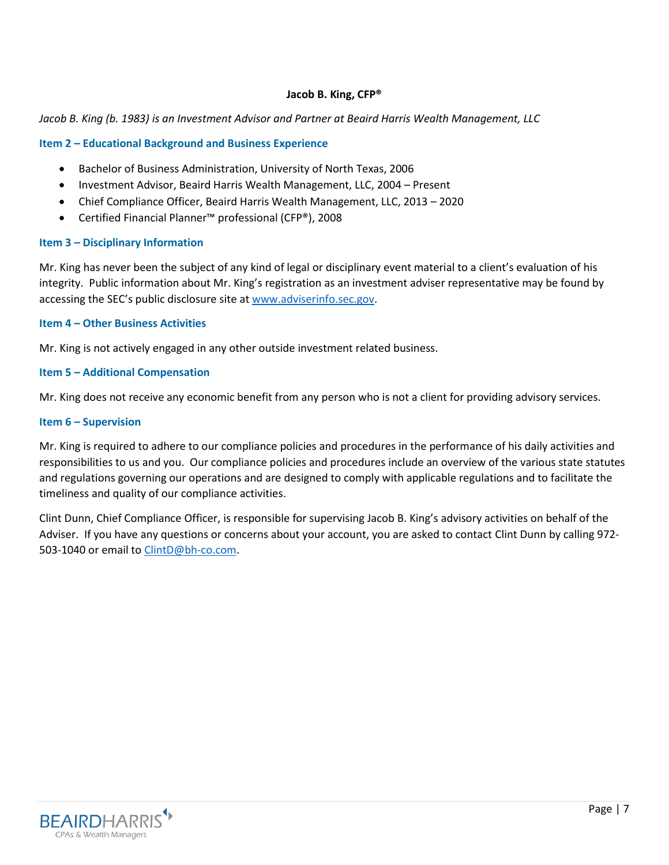## **Jacob B. King, CFP®**

## *Jacob B. King (b. 1983) is an Investment Advisor and Partner at Beaird Harris Wealth Management, LLC*

### **Item 2 – Educational Background and Business Experience**

- Bachelor of Business Administration, University of North Texas, 2006
- Investment Advisor, Beaird Harris Wealth Management, LLC, 2004 Present
- Chief Compliance Officer, Beaird Harris Wealth Management, LLC, 2013 2020
- Certified Financial Planner™ professional (CFP®), 2008

### **Item 3 – Disciplinary Information**

Mr. King has never been the subject of any kind of legal or disciplinary event material to a client's evaluation of his integrity. Public information about Mr. King's registration as an investment adviser representative may be found by accessing the SEC's public disclosure site at [www.adviserinfo.sec.gov.](http://www.adviserinfo.sec.gov/)

## **Item 4 – Other Business Activities**

Mr. King is not actively engaged in any other outside investment related business.

### **Item 5 – Additional Compensation**

Mr. King does not receive any economic benefit from any person who is not a client for providing advisory services.

### **Item 6 – Supervision**

Mr. King is required to adhere to our compliance policies and procedures in the performance of his daily activities and responsibilities to us and you. Our compliance policies and procedures include an overview of the various state statutes and regulations governing our operations and are designed to comply with applicable regulations and to facilitate the timeliness and quality of our compliance activities.

Clint Dunn, Chief Compliance Officer, is responsible for supervising Jacob B. King's advisory activities on behalf of the Adviser. If you have any questions or concerns about your account, you are asked to contact Clint Dunn by calling 972- 503-1040 or email to [ClintD@bh-co.com.](mailto:ClintD@bh-co.com)

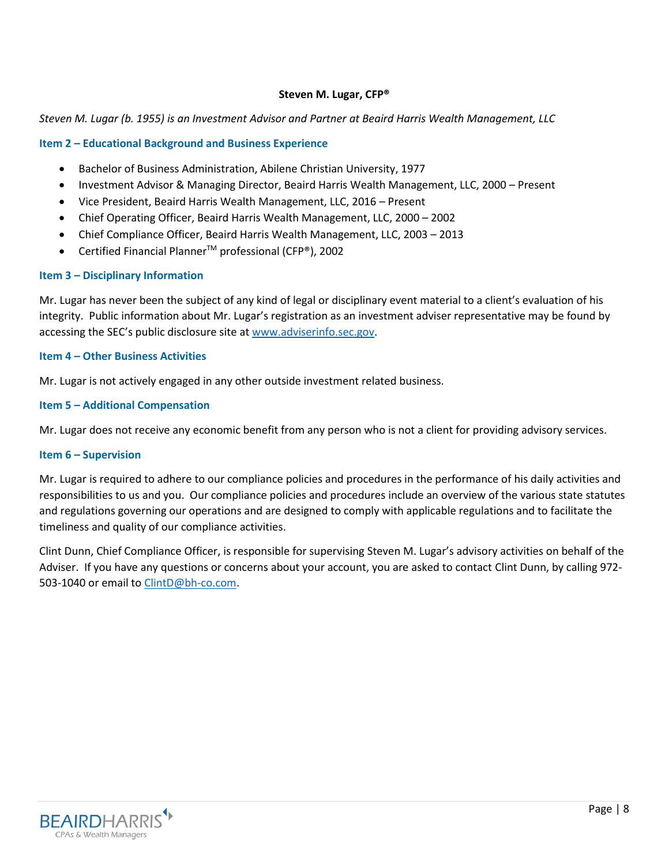## **Steven M. Lugar, CFP®**

## *Steven M. Lugar (b. 1955) is an Investment Advisor and Partner at Beaird Harris Wealth Management, LLC*

## **Item 2 – Educational Background and Business Experience**

- Bachelor of Business Administration, Abilene Christian University, 1977
- Investment Advisor & Managing Director, Beaird Harris Wealth Management, LLC, 2000 Present
- Vice President, Beaird Harris Wealth Management, LLC, 2016 Present
- Chief Operating Officer, Beaird Harris Wealth Management, LLC, 2000 2002
- Chief Compliance Officer, Beaird Harris Wealth Management, LLC, 2003 2013
- Certified Financial PlannerTM professional (CFP®), 2002

### **Item 3 – Disciplinary Information**

Mr. Lugar has never been the subject of any kind of legal or disciplinary event material to a client's evaluation of his integrity. Public information about Mr. Lugar's registration as an investment adviser representative may be found by accessing the SEC's public disclosure site at [www.adviserinfo.sec.gov.](http://www.adviserinfo.sec.gov/)

### **Item 4 – Other Business Activities**

Mr. Lugar is not actively engaged in any other outside investment related business.

### **Item 5 – Additional Compensation**

Mr. Lugar does not receive any economic benefit from any person who is not a client for providing advisory services.

#### **Item 6 – Supervision**

Mr. Lugar is required to adhere to our compliance policies and procedures in the performance of his daily activities and responsibilities to us and you. Our compliance policies and procedures include an overview of the various state statutes and regulations governing our operations and are designed to comply with applicable regulations and to facilitate the timeliness and quality of our compliance activities.

Clint Dunn, Chief Compliance Officer, is responsible for supervising Steven M. Lugar's advisory activities on behalf of the Adviser. If you have any questions or concerns about your account, you are asked to contact Clint Dunn, by calling 972- 503-1040 or email to [ClintD@bh-co.com.](mailto:ClintD@bh-co.com)

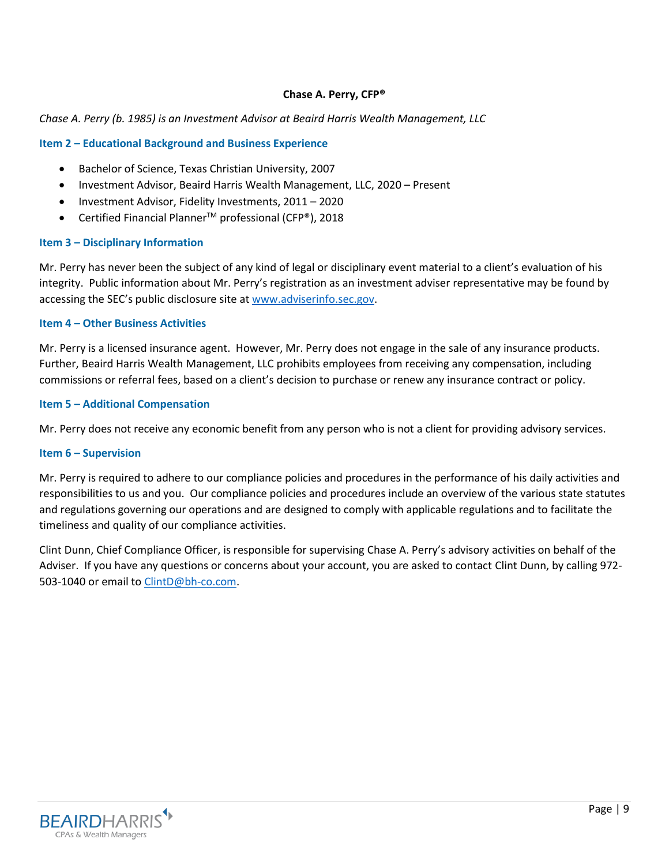## **Chase A. Perry, CFP®**

### *Chase A. Perry (b. 1985) is an Investment Advisor at Beaird Harris Wealth Management, LLC*

### **Item 2 – Educational Background and Business Experience**

- Bachelor of Science, Texas Christian University, 2007
- Investment Advisor, Beaird Harris Wealth Management, LLC, 2020 Present
- Investment Advisor, Fidelity Investments, 2011 2020
- Certified Financial Planner<sup>TM</sup> professional (CFP®), 2018

### **Item 3 – Disciplinary Information**

Mr. Perry has never been the subject of any kind of legal or disciplinary event material to a client's evaluation of his integrity. Public information about Mr. Perry's registration as an investment adviser representative may be found by accessing the SEC's public disclosure site at [www.adviserinfo.sec.gov.](http://www.adviserinfo.sec.gov/)

### **Item 4 – Other Business Activities**

Mr. Perry is a licensed insurance agent. However, Mr. Perry does not engage in the sale of any insurance products. Further, Beaird Harris Wealth Management, LLC prohibits employees from receiving any compensation, including commissions or referral fees, based on a client's decision to purchase or renew any insurance contract or policy.

#### **Item 5 – Additional Compensation**

Mr. Perry does not receive any economic benefit from any person who is not a client for providing advisory services.

## **Item 6 – Supervision**

Mr. Perry is required to adhere to our compliance policies and procedures in the performance of his daily activities and responsibilities to us and you. Our compliance policies and procedures include an overview of the various state statutes and regulations governing our operations and are designed to comply with applicable regulations and to facilitate the timeliness and quality of our compliance activities.

Clint Dunn, Chief Compliance Officer, is responsible for supervising Chase A. Perry's advisory activities on behalf of the Adviser. If you have any questions or concerns about your account, you are asked to contact Clint Dunn, by calling 972- 503-1040 or email to [ClintD@bh-co.com.](mailto:ClintD@bh-co.com)

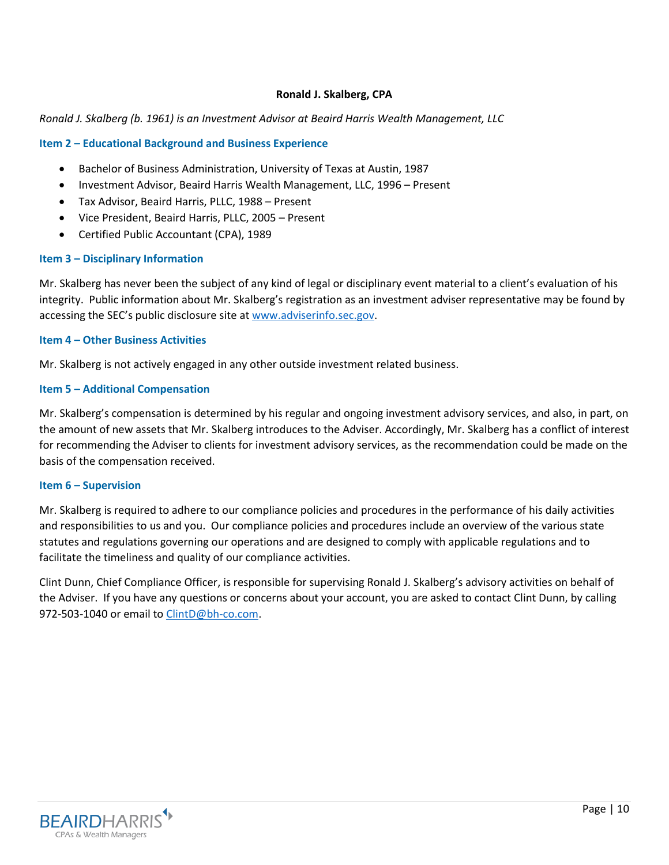## **Ronald J. Skalberg, CPA**

### *Ronald J. Skalberg (b. 1961) is an Investment Advisor at Beaird Harris Wealth Management, LLC*

### **Item 2 – Educational Background and Business Experience**

- Bachelor of Business Administration, University of Texas at Austin, 1987
- Investment Advisor, Beaird Harris Wealth Management, LLC, 1996 Present
- Tax Advisor, Beaird Harris, PLLC, 1988 Present
- Vice President, Beaird Harris, PLLC, 2005 Present
- Certified Public Accountant (CPA), 1989

#### **Item 3 – Disciplinary Information**

Mr. Skalberg has never been the subject of any kind of legal or disciplinary event material to a client's evaluation of his integrity. Public information about Mr. Skalberg's registration as an investment adviser representative may be found by accessing the SEC's public disclosure site at [www.adviserinfo.sec.gov.](http://www.adviserinfo.sec.gov/)

#### **Item 4 – Other Business Activities**

Mr. Skalberg is not actively engaged in any other outside investment related business.

### **Item 5 – Additional Compensation**

Mr. Skalberg's compensation is determined by his regular and ongoing investment advisory services, and also, in part, on the amount of new assets that Mr. Skalberg introduces to the Adviser. Accordingly, Mr. Skalberg has a conflict of interest for recommending the Adviser to clients for investment advisory services, as the recommendation could be made on the basis of the compensation received.

#### **Item 6 – Supervision**

Mr. Skalberg is required to adhere to our compliance policies and procedures in the performance of his daily activities and responsibilities to us and you. Our compliance policies and procedures include an overview of the various state statutes and regulations governing our operations and are designed to comply with applicable regulations and to facilitate the timeliness and quality of our compliance activities.

Clint Dunn, Chief Compliance Officer, is responsible for supervising Ronald J. Skalberg's advisory activities on behalf of the Adviser. If you have any questions or concerns about your account, you are asked to contact Clint Dunn, by calling 972-503-1040 or email to [ClintD@bh-co.com.](mailto:ClintD@bh-co.com)

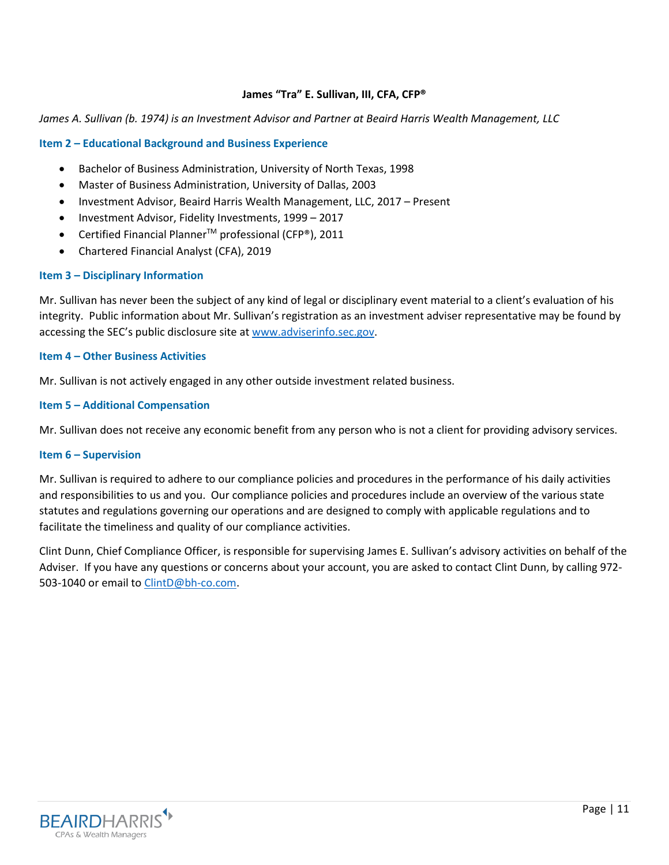## **James "Tra" E. Sullivan, III, CFA, CFP®**

#### *James A. Sullivan (b. 1974) is an Investment Advisor and Partner at Beaird Harris Wealth Management, LLC*

#### **Item 2 – Educational Background and Business Experience**

- Bachelor of Business Administration, University of North Texas, 1998
- Master of Business Administration, University of Dallas, 2003
- Investment Advisor, Beaird Harris Wealth Management, LLC, 2017 Present
- Investment Advisor, Fidelity Investments, 1999 2017
- Certified Financial PlannerTM professional (CFP®), 2011
- Chartered Financial Analyst (CFA), 2019

### **Item 3 – Disciplinary Information**

Mr. Sullivan has never been the subject of any kind of legal or disciplinary event material to a client's evaluation of his integrity. Public information about Mr. Sullivan's registration as an investment adviser representative may be found by accessing the SEC's public disclosure site at [www.adviserinfo.sec.gov.](http://www.adviserinfo.sec.gov/)

### **Item 4 – Other Business Activities**

Mr. Sullivan is not actively engaged in any other outside investment related business.

### **Item 5 – Additional Compensation**

Mr. Sullivan does not receive any economic benefit from any person who is not a client for providing advisory services.

## **Item 6 – Supervision**

Mr. Sullivan is required to adhere to our compliance policies and procedures in the performance of his daily activities and responsibilities to us and you. Our compliance policies and procedures include an overview of the various state statutes and regulations governing our operations and are designed to comply with applicable regulations and to facilitate the timeliness and quality of our compliance activities.

Clint Dunn, Chief Compliance Officer, is responsible for supervising James E. Sullivan's advisory activities on behalf of the Adviser. If you have any questions or concerns about your account, you are asked to contact Clint Dunn, by calling 972- 503-1040 or email to [ClintD@bh-co.com.](mailto:ClintD@bh-co.com)

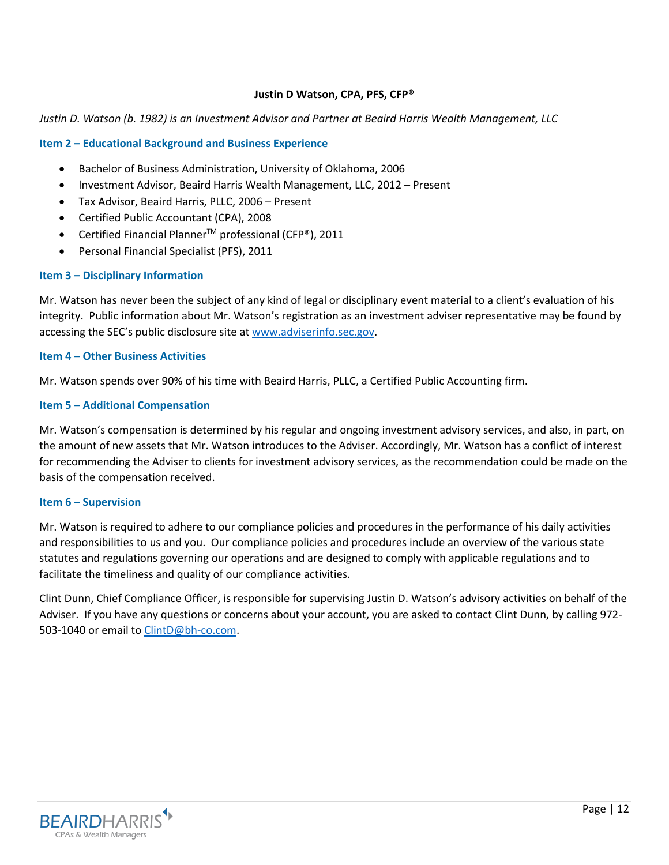### **Justin D Watson, CPA, PFS, CFP®**

### *Justin D. Watson (b. 1982) is an Investment Advisor and Partner at Beaird Harris Wealth Management, LLC*

### **Item 2 – Educational Background and Business Experience**

- Bachelor of Business Administration, University of Oklahoma, 2006
- Investment Advisor, Beaird Harris Wealth Management, LLC, 2012 Present
- Tax Advisor, Beaird Harris, PLLC, 2006 Present
- Certified Public Accountant (CPA), 2008
- Certified Financial PlannerTM professional (CFP®), 2011
- Personal Financial Specialist (PFS), 2011

### **Item 3 – Disciplinary Information**

Mr. Watson has never been the subject of any kind of legal or disciplinary event material to a client's evaluation of his integrity. Public information about Mr. Watson's registration as an investment adviser representative may be found by accessing the SEC's public disclosure site at [www.adviserinfo.sec.gov.](http://www.adviserinfo.sec.gov/)

## **Item 4 – Other Business Activities**

Mr. Watson spends over 90% of his time with Beaird Harris, PLLC, a Certified Public Accounting firm.

### **Item 5 – Additional Compensation**

Mr. Watson's compensation is determined by his regular and ongoing investment advisory services, and also, in part, on the amount of new assets that Mr. Watson introduces to the Adviser. Accordingly, Mr. Watson has a conflict of interest for recommending the Adviser to clients for investment advisory services, as the recommendation could be made on the basis of the compensation received.

#### **Item 6 – Supervision**

Mr. Watson is required to adhere to our compliance policies and procedures in the performance of his daily activities and responsibilities to us and you. Our compliance policies and procedures include an overview of the various state statutes and regulations governing our operations and are designed to comply with applicable regulations and to facilitate the timeliness and quality of our compliance activities.

Clint Dunn, Chief Compliance Officer, is responsible for supervising Justin D. Watson's advisory activities on behalf of the Adviser. If you have any questions or concerns about your account, you are asked to contact Clint Dunn, by calling 972- 503-1040 or email to [ClintD@bh-co.com.](mailto:ClintD@bh-co.com)

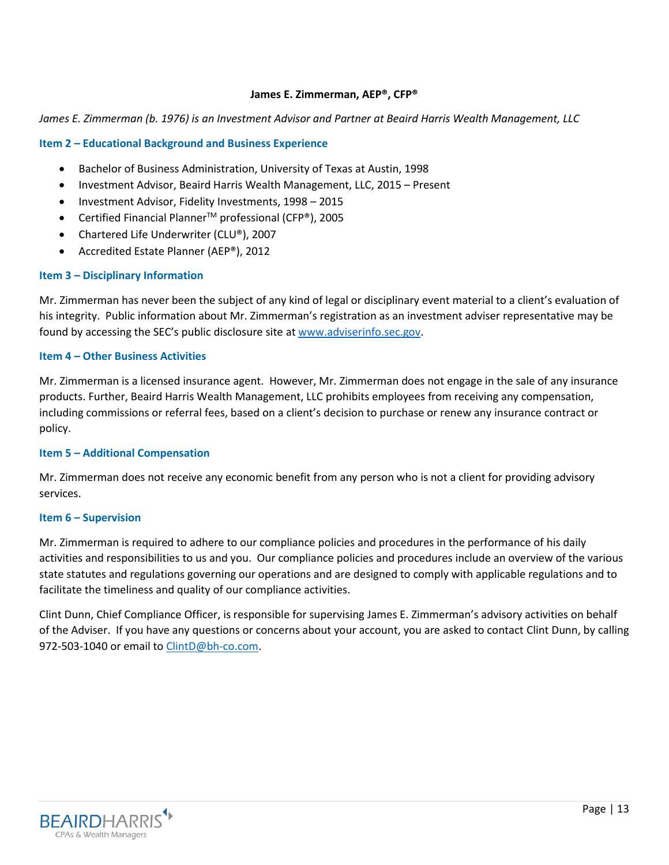### **James E. Zimmerman, AEP®, CFP®**

### *James E. Zimmerman (b. 1976) is an Investment Advisor and Partner at Beaird Harris Wealth Management, LLC*

### **Item 2 – Educational Background and Business Experience**

- Bachelor of Business Administration, University of Texas at Austin, 1998
- Investment Advisor, Beaird Harris Wealth Management, LLC, 2015 Present
- Investment Advisor, Fidelity Investments, 1998 2015
- Certified Financial Planner<sup>TM</sup> professional (CFP®), 2005
- Chartered Life Underwriter (CLU®), 2007
- Accredited Estate Planner (AEP®), 2012

#### **Item 3 – Disciplinary Information**

Mr. Zimmerman has never been the subject of any kind of legal or disciplinary event material to a client's evaluation of his integrity. Public information about Mr. Zimmerman's registration as an investment adviser representative may be found by accessing the SEC's public disclosure site at [www.adviserinfo.sec.gov.](http://www.adviserinfo.sec.gov/)

#### **Item 4 – Other Business Activities**

Mr. Zimmerman is a licensed insurance agent. However, Mr. Zimmerman does not engage in the sale of any insurance products. Further, Beaird Harris Wealth Management, LLC prohibits employees from receiving any compensation, including commissions or referral fees, based on a client's decision to purchase or renew any insurance contract or policy.

#### **Item 5 – Additional Compensation**

Mr. Zimmerman does not receive any economic benefit from any person who is not a client for providing advisory services.

### **Item 6 – Supervision**

Mr. Zimmerman is required to adhere to our compliance policies and procedures in the performance of his daily activities and responsibilities to us and you. Our compliance policies and procedures include an overview of the various state statutes and regulations governing our operations and are designed to comply with applicable regulations and to facilitate the timeliness and quality of our compliance activities.

Clint Dunn, Chief Compliance Officer, is responsible for supervising James E. Zimmerman's advisory activities on behalf of the Adviser. If you have any questions or concerns about your account, you are asked to contact Clint Dunn, by calling 972-503-1040 or email to [ClintD@bh-co.com.](mailto:ClintD@bh-co.com)

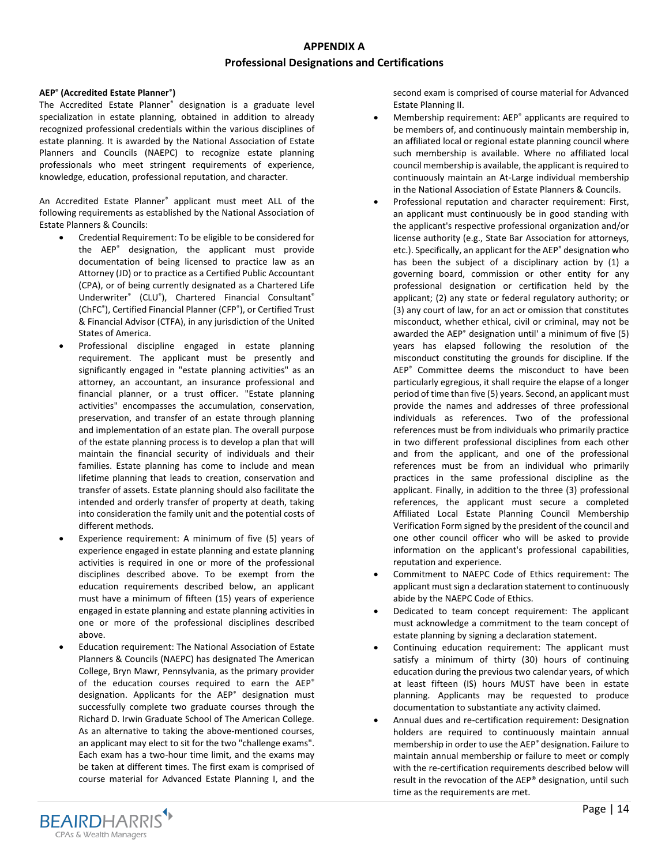# **APPENDIX A Professional Designations and Certifications**

#### **AEP® (Accredited Estate Planner® )**

The Accredited Estate Planner® designation is a graduate level specialization in estate planning, obtained in addition to already recognized professional credentials within the various disciplines of estate planning. It is awarded by the National Association of Estate Planners and Councils (NAEPC) to recognize estate planning professionals who meet stringent requirements of experience, knowledge, education, professional reputation, and character.

An Accredited Estate Planner® applicant must meet ALL of the following requirements as established by the National Association of Estate Planners & Councils:

- Credential Requirement: To be eligible to be considered for the AEP® designation, the applicant must provide documentation of being licensed to practice law as an Attorney (JD) or to practice as a Certified Public Accountant (CPA), or of being currently designated as a Chartered Life Underwriter® (CLU® ), Chartered Financial Consultant® (ChFC® ), Certified Financial Planner (CFP® ), or Certified Trust & Financial Advisor (CTFA), in any jurisdiction of the United States of America.
- Professional discipline engaged in estate planning requirement. The applicant must be presently and significantly engaged in "estate planning activities" as an attorney, an accountant, an insurance professional and financial planner, or a trust officer. "Estate planning activities" encompasses the accumulation, conservation, preservation, and transfer of an estate through planning and implementation of an estate plan. The overall purpose of the estate planning process is to develop a plan that will maintain the financial security of individuals and their families. Estate planning has come to include and mean lifetime planning that leads to creation, conservation and transfer of assets. Estate planning should also facilitate the intended and orderly transfer of property at death, taking into consideration the family unit and the potential costs of different methods.
- Experience requirement: A minimum of five (5) years of experience engaged in estate planning and estate planning activities is required in one or more of the professional disciplines described above. To be exempt from the education requirements described below, an applicant must have a minimum of fifteen (15) years of experience engaged in estate planning and estate planning activities in one or more of the professional disciplines described above.
- Education requirement: The National Association of Estate Planners & Councils (NAEPC) has designated The American College, Bryn Mawr, Pennsylvania, as the primary provider of the education courses required to earn the AEP® designation. Applicants for the AEP® designation must successfully complete two graduate courses through the Richard D. Irwin Graduate School of The American College. As an alternative to taking the above-mentioned courses, an applicant may elect to sit for the two "challenge exams". Each exam has a two-hour time limit, and the exams may be taken at different times. The first exam is comprised of course material for Advanced Estate Planning I, and the

second exam is comprised of course material for Advanced Estate Planning II.

- Membership requirement: AEP® applicants are required to be members of, and continuously maintain membership in, an affiliated local or regional estate planning council where such membership is available. Where no affiliated local council membership is available, the applicant is required to continuously maintain an At-Large individual membership in the National Association of Estate Planners & Councils.
- Professional reputation and character requirement: First, an applicant must continuously be in good standing with the applicant's respective professional organization and/or license authority (e.g., State Bar Association for attorneys, etc.). Specifically, an applicant for the AEP<sup>®</sup> designation who has been the subject of a disciplinary action by (1) a governing board, commission or other entity for any professional designation or certification held by the applicant; (2) any state or federal regulatory authority; or (3) any court of law, for an act or omission that constitutes misconduct, whether ethical, civil or criminal, may not be awarded the AEP® designation until' a minimum of five (5) years has elapsed following the resolution of the misconduct constituting the grounds for discipline. If the AEP® Committee deems the misconduct to have been particularly egregious, it shall require the elapse of a longer period of time than five (5) years. Second, an applicant must provide the names and addresses of three professional individuals as references. Two of the professional references must be from individuals who primarily practice in two different professional disciplines from each other and from the applicant, and one of the professional references must be from an individual who primarily practices in the same professional discipline as the applicant. Finally, in addition to the three (3) professional references, the applicant must secure a completed Affiliated Local Estate Planning Council Membership Verification Form signed by the president of the council and one other council officer who will be asked to provide information on the applicant's professional capabilities, reputation and experience.
- Commitment to NAEPC Code of Ethics requirement: The applicant must sign a declaration statement to continuously abide by the NAEPC Code of Ethics.
- Dedicated to team concept requirement: The applicant must acknowledge a commitment to the team concept of estate planning by signing a declaration statement.
- Continuing education requirement: The applicant must satisfy a minimum of thirty (30) hours of continuing education during the previous two calendar years, of which at least fifteen (IS) hours MUST have been in estate planning. Applicants may be requested to produce documentation to substantiate any activity claimed.
- Annual dues and re-certification requirement: Designation holders are required to continuously maintain annual membership in order to use the AEP® designation. Failure to maintain annual membership or failure to meet or comply with the re-certification requirements described below will result in the revocation of the AEP® designation, until such time as the requirements are met.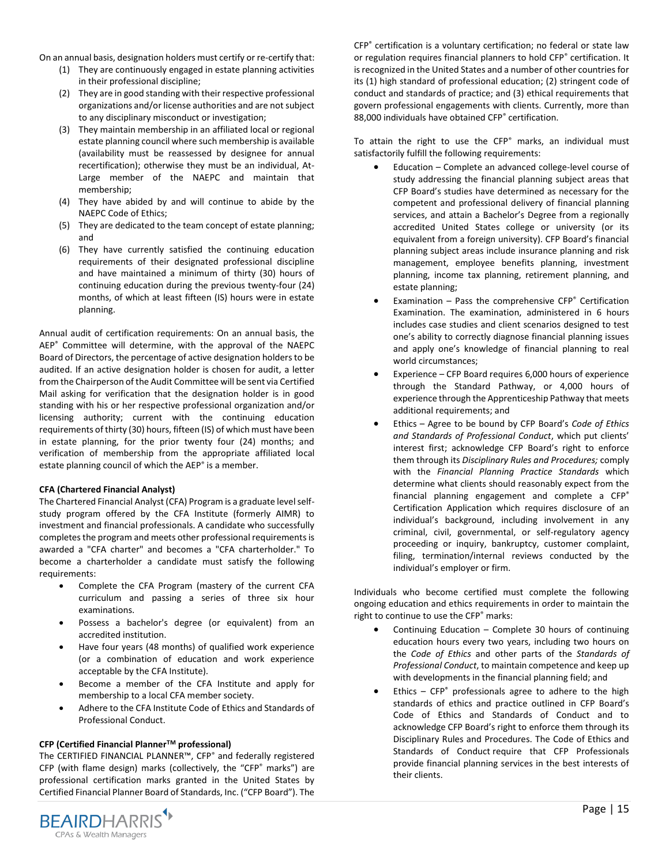On an annual basis, designation holders must certify or re-certify that:

- (1) They are continuously engaged in estate planning activities in their professional discipline;
- (2) They are in good standing with their respective professional organizations and/or license authorities and are not subject to any disciplinary misconduct or investigation;
- (3) They maintain membership in an affiliated local or regional estate planning council where such membership is available (availability must be reassessed by designee for annual recertification); otherwise they must be an individual, At-Large member of the NAEPC and maintain that membership;
- (4) They have abided by and will continue to abide by the NAEPC Code of Ethics;
- (5) They are dedicated to the team concept of estate planning; and
- (6) They have currently satisfied the continuing education requirements of their designated professional discipline and have maintained a minimum of thirty (30) hours of continuing education during the previous twenty-four (24) months, of which at least fifteen (IS) hours were in estate planning.

Annual audit of certification requirements: On an annual basis, the AEP<sup>®</sup> Committee will determine, with the approval of the NAEPC Board of Directors, the percentage of active designation holders to be audited. If an active designation holder is chosen for audit, a letter from the Chairperson of the Audit Committee will be sent via Certified Mail asking for verification that the designation holder is in good standing with his or her respective professional organization and/or licensing authority; current with the continuing education requirements of thirty (30) hours, fifteen (IS) of which must have been in estate planning, for the prior twenty four (24) months; and verification of membership from the appropriate affiliated local estate planning council of which the AEP<sup>®</sup> is a member.

#### **CFA (Chartered Financial Analyst)**

The Chartered Financial Analyst (CFA) Program is a graduate level selfstudy program offered by the CFA Institute (formerly AIMR) to investment and financial professionals. A candidate who successfully completes the program and meets other professional requirements is awarded a "CFA charter" and becomes a "CFA charterholder." To become a charterholder a candidate must satisfy the following requirements:

- Complete the CFA Program (mastery of the current CFA curriculum and passing a series of three six hour examinations.
- Possess a bachelor's degree (or equivalent) from an accredited institution.
- Have four years (48 months) of qualified work experience (or a combination of education and work experience acceptable by the CFA Institute).
- Become a member of the CFA Institute and apply for membership to a local CFA member society.
- Adhere to the CFA Institute Code of Ethics and Standards of Professional Conduct.

#### **CFP (Certified Financial PlannerTM professional)**

The CERTIFIED FINANCIAL PLANNER™, CFP® and federally registered CFP (with flame design) marks (collectively, the "CFP® marks") are professional certification marks granted in the United States by Certified Financial Planner Board of Standards, Inc. ("CFP Board"). The



CFP® certification is a voluntary certification; no federal or state law or regulation requires financial planners to hold CFP<sup>®</sup> certification. It is recognized in the United States and a number of other countries for its (1) high standard of professional education; (2) stringent code of conduct and standards of practice; and (3) ethical requirements that govern professional engagements with clients. Currently, more than 88,000 individuals have obtained CFP® certification.

To attain the right to use the CFP<sup>®</sup> marks, an individual must satisfactorily fulfill the following requirements:

- Education Complete an advanced college-level course of study addressing the financial planning subject areas that CFP Board's studies have determined as necessary for the competent and professional delivery of financial planning services, and attain a Bachelor's Degree from a regionally accredited United States college or university (or its equivalent from a foreign university). CFP Board's financial planning subject areas include insurance planning and risk management, employee benefits planning, investment planning, income tax planning, retirement planning, and estate planning;
- Examination Pass the comprehensive  $CFP<sup>°</sup>$  Certification Examination. The examination, administered in 6 hours includes case studies and client scenarios designed to test one's ability to correctly diagnose financial planning issues and apply one's knowledge of financial planning to real world circumstances;
- Experience  $-$  CFP Board requires 6,000 hours of experience through the Standard Pathway, or 4,000 hours of experience through the Apprenticeship Pathway that meets additional requirements; and
- Ethics Agree to be bound by CFP Board's *Code of Ethics and Standards of Professional Conduct*, which put clients' interest first; acknowledge CFP Board's right to enforce them through its *Disciplinary Rules and Procedures;* comply with the *Financial Planning Practice Standards* which determine what clients should reasonably expect from the financial planning engagement and complete a CFP<sup>®</sup> Certification Application which requires disclosure of an individual's background, including involvement in any criminal, civil, governmental, or self-regulatory agency proceeding or inquiry, bankruptcy, customer complaint, filing, termination/internal reviews conducted by the individual's employer or firm.

Individuals who become certified must complete the following ongoing education and ethics requirements in order to maintain the right to continue to use the CFP® marks:

- Continuing Education Complete 30 hours of continuing education hours every two years, including two hours on the *Code of Ethics* and other parts of the *Standards of Professional Conduct*, to maintain competence and keep up with developments in the financial planning field; and
- Ethics  $CFP<sup>®</sup>$  professionals agree to adhere to the high standards of ethics and practice outlined in CFP Board's Code of Ethics and Standards of Conduct and to acknowledge CFP Board's right to enforce them through its Disciplinary Rules and Procedures. The Code of Ethics and Standards of Conduct require that CFP Professionals provide financial planning services in the best interests of their clients.